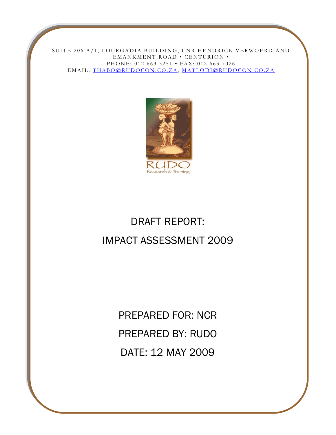SUITE 206 A/1, LOURGADIA BUILDING, CNR HENDRICK VERWOERD AND EMANKMENT ROAD • CENTURION • PHONE: 012 663 3251 • FAX: 012 663 7026 EMAIL: [THABO@RUDOCON.CO.ZA;](mailto:THABO@RUDOCON.CO.ZA) [MATLODI@RUDOCON.CO.ZA](mailto:MATLODI@RUDOCON.CO.ZA)



# DRAFT REPORT: IMPACT ASSESSMENT 2009

PREPARED FOR: NCR PREPARED BY: RUDO DATE: 12 MAY 2009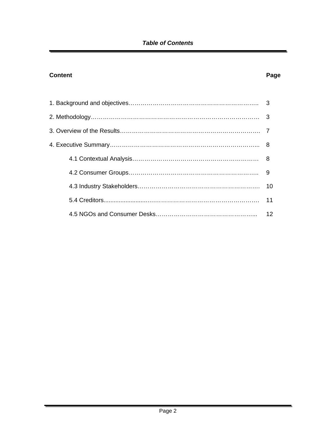# *Table of Contents*

# **Content Page 2018**

| 9  |
|----|
|    |
| 11 |
| 12 |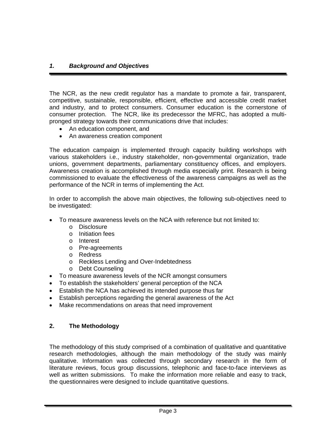# *1. Background and Objectives*

The NCR, as the new credit regulator has a mandate to promote a fair, transparent, competitive, sustainable, responsible, efficient, effective and accessible credit market and industry, and to protect consumers. Consumer education is the cornerstone of consumer protection. The NCR, like its predecessor the MFRC, has adopted a multipronged strategy towards their communications drive that includes:

- An education component, and
- An awareness creation component

The education campaign is implemented through capacity building workshops with various stakeholders i.e., industry stakeholder, non-governmental organization, trade unions, government departments, parliamentary constituency offices, and employers. Awareness creation is accomplished through media especially print. Research is being commissioned to evaluate the effectiveness of the awareness campaigns as well as the performance of the NCR in terms of implementing the Act.

In order to accomplish the above main objectives, the following sub-objectives need to be investigated:

- To measure awareness levels on the NCA with reference but not limited to:
	- o Disclosure
	- o Initiation fees
	- o Interest
	- o Pre-agreements
	- o Redress
	- o Reckless Lending and Over-Indebtedness
	- o Debt Counseling
- To measure awareness levels of the NCR amongst consumers
- To establish the stakeholders' general perception of the NCA
- Establish the NCA has achieved its intended purpose thus far
- Establish perceptions regarding the general awareness of the Act
- Make recommendations on areas that need improvement

# **2. The Methodology**

The methodology of this study comprised of a combination of qualitative and quantitative research methodologies, although the main methodology of the study was mainly qualitative. Information was collected through secondary research in the form of literature reviews, focus group discussions, telephonic and face-to-face interviews as well as written submissions. To make the information more reliable and easy to track, the questionnaires were designed to include quantitative questions.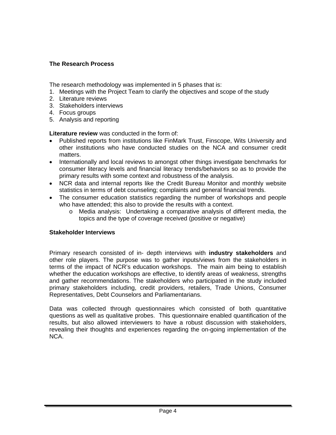# **The Research Process**

The research methodology was implemented in 5 phases that is:

- 1. Meetings with the Project Team to clarify the objectives and scope of the study
- 2. Literature reviews
- 3. Stakeholders interviews
- 4. Focus groups
- 5. Analysis and reporting

**Literature review** was conducted in the form of:

- Published reports from institutions like FinMark Trust, Finscope, Wits University and other institutions who have conducted studies on the NCA and consumer credit matters.
- Internationally and local reviews to amongst other things investigate benchmarks for consumer literacy levels and financial literacy trends/behaviors so as to provide the primary results with some context and robustness of the analysis.
- NCR data and internal reports like the Credit Bureau Monitor and monthly website statistics in terms of debt counseling; complaints and general financial trends.
- The consumer education statistics regarding the number of workshops and people who have attended; this also to provide the results with a context.
	- o Media analysis: Undertaking a comparative analysis of different media, the topics and the type of coverage received (positive or negative)

# **Stakeholder Interviews**

Primary research consisted of in- depth interviews with **industry stakeholders** and other role players. The purpose was to gather inputs/views from the stakeholders in terms of the impact of NCR's education workshops. The main aim being to establish whether the education workshops are effective, to identify areas of weakness, strengths and gather recommendations. The stakeholders who participated in the study included primary stakeholders including, credit providers, retailers, Trade Unions, Consumer Representatives, Debt Counselors and Parliamentarians.

Data was collected through questionnaires which consisted of both quantitative questions as well as qualitative probes. This questionnaire enabled quantification of the results, but also allowed interviewers to have a robust discussion with stakeholders, revealing their thoughts and experiences regarding the on-going implementation of the NCA.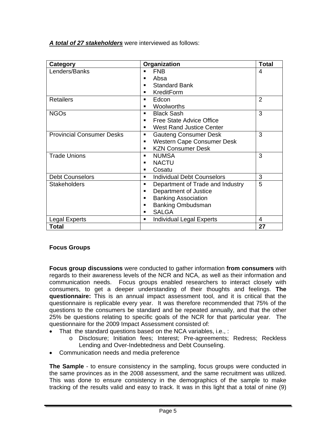*A total of 27 stakeholders* were interviewed as follows:

| Category                         | Organization                           | <b>Total</b> |
|----------------------------------|----------------------------------------|--------------|
| Lenders/Banks                    | <b>FNB</b>                             | 4            |
|                                  | Absa<br>■                              |              |
|                                  | <b>Standard Bank</b>                   |              |
|                                  | KreditForm<br>٠                        |              |
| <b>Retailers</b>                 | Edcon<br>٠                             | 2            |
|                                  | Woolworths<br>■                        |              |
| <b>NGOs</b>                      | <b>Black Sash</b><br>٠                 | 3            |
|                                  | Free State Advice Office               |              |
|                                  | <b>West Rand Justice Center</b><br>٠   |              |
| <b>Provincial Consumer Desks</b> | <b>Gauteng Consumer Desk</b><br>٠      | 3            |
|                                  | <b>Western Cape Consumer Desk</b><br>п |              |
|                                  | <b>KZN Consumer Desk</b><br>■          |              |
| <b>Trade Unions</b>              | <b>NUMSA</b><br>٠                      | 3            |
|                                  | <b>NACTU</b>                           |              |
|                                  | Cosatu<br>٠                            |              |
| <b>Debt Counselors</b>           | <b>Individual Debt Counselors</b><br>٠ | 3            |
| <b>Stakeholders</b>              | Department of Trade and Industry<br>٠  | 5            |
|                                  | Department of Justice<br>■             |              |
|                                  | <b>Banking Association</b><br>■        |              |
|                                  | <b>Banking Ombudsman</b><br>■          |              |
|                                  | <b>SALGA</b><br>■                      |              |
| <b>Legal Experts</b>             | <b>Individual Legal Experts</b><br>٠   | 4            |
| Total                            |                                        | 27           |

# **Focus Groups**

**Focus group discussions** were conducted to gather information **from consumers** with regards to their awareness levels of the NCR and NCA, as well as their information and communication needs. Focus groups enabled researchers to interact closely with consumers, to get a deeper understanding of their thoughts and feelings. **The questionnaire:** This is an annual impact assessment tool, and it is critical that the questionnaire is replicable every year. It was therefore recommended that 75% of the questions to the consumers be standard and be repeated annually, and that the other 25% be questions relating to specific goals of the NCR for that particular year. The questionnaire for the 2009 Impact Assessment consisted of:

- That the standard questions based on the NCA variables, i.e., :
	- o Disclosure; Initiation fees; Interest; Pre-agreements; Redress; Reckless Lending and Over-Indebtedness and Debt Counseling.
- Communication needs and media preference

**The Sample** - to ensure consistency in the sampling, focus groups were conducted in the same provinces as in the 2008 assessment, and the same recruitment was utilized. This was done to ensure consistency in the demographics of the sample to make tracking of the results valid and easy to track. It was in this light that a total of nine (9)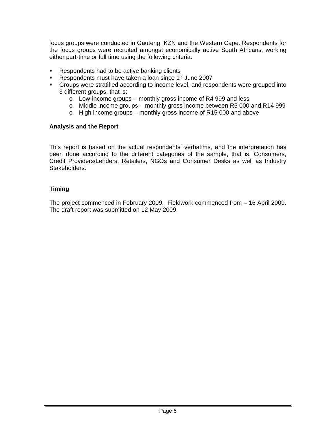focus groups were conducted in Gauteng, KZN and the Western Cape. Respondents for the focus groups were recruited amongst economically active South Africans, working either part-time or full time using the following criteria:

- Respondents had to be active banking clients
- Respondents must have taken a loan since  $1<sup>st</sup>$  June 2007
- Groups were stratified according to income level, and respondents were grouped into 3 different groups, that is:
	- o Low-income groups monthly gross income of R4 999 and less
	- o Middle income groups monthly gross income between R5 000 and R14 999
	- o High income groups monthly gross income of R15 000 and above

#### **Analysis and the Report**

This report is based on the actual respondents' verbatims, and the interpretation has been done according to the different categories of the sample, that is, Consumers, Credit Providers/Lenders, Retailers, NGOs and Consumer Desks as well as Industry Stakeholders.

# **Timing**

The project commenced in February 2009. Fieldwork commenced from – 16 April 2009. The draft report was submitted on 12 May 2009.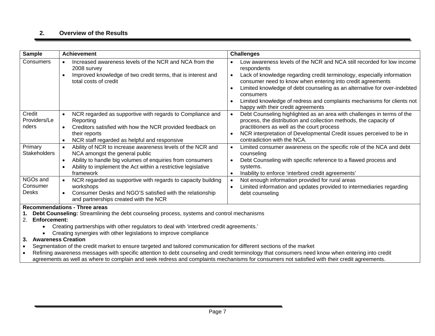#### **2. Overview of the Results**

| <b>Sample</b>                                                                                                                                                                                                                                                                                                                                                                                                                                                                                                                                                                                                                                | <b>Achievement</b>                                                                                                                                                                                                                                                             | <b>Challenges</b>                                                                                                                                                                                                                                                                                                                                                                                                                                                            |  |  |
|----------------------------------------------------------------------------------------------------------------------------------------------------------------------------------------------------------------------------------------------------------------------------------------------------------------------------------------------------------------------------------------------------------------------------------------------------------------------------------------------------------------------------------------------------------------------------------------------------------------------------------------------|--------------------------------------------------------------------------------------------------------------------------------------------------------------------------------------------------------------------------------------------------------------------------------|------------------------------------------------------------------------------------------------------------------------------------------------------------------------------------------------------------------------------------------------------------------------------------------------------------------------------------------------------------------------------------------------------------------------------------------------------------------------------|--|--|
| Consumers                                                                                                                                                                                                                                                                                                                                                                                                                                                                                                                                                                                                                                    | Increased awareness levels of the NCR and NCA from the<br>$\bullet$<br>2008 survey<br>Improved knowledge of two credit terms, that is interest and<br>total costs of credit                                                                                                    | Low awareness levels of the NCR and NCA still recorded for low income<br>respondents<br>Lack of knowledge regarding credit terminology, especially information<br>$\bullet$<br>consumer need to know when entering into credit agreements<br>Limited knowledge of debt counseling as an alternative for over-indebted<br>$\bullet$<br>consumers<br>Limited knowledge of redress and complaints mechanisms for clients not<br>$\bullet$<br>happy with their credit agreements |  |  |
| Credit<br>Providers/Le<br>nders                                                                                                                                                                                                                                                                                                                                                                                                                                                                                                                                                                                                              | NCR regarded as supportive with regards to Compliance and<br>$\bullet$<br>Reporting<br>Creditors satisfied with how the NCR provided feedback on<br>$\bullet$<br>their reports<br>NCR staff regarded as helpful and responsive<br>$\bullet$                                    | Debt Counseling highlighted as an area with challenges in terms of the<br>$\bullet$<br>process, the distribution and collection methods, the capacity of<br>practitioners as well as the court process<br>NCR interpretation of Developmental Credit issues perceived to be in<br>$\bullet$<br>contradiction with the NCA.                                                                                                                                                   |  |  |
| Primary<br><b>Stakeholders</b>                                                                                                                                                                                                                                                                                                                                                                                                                                                                                                                                                                                                               | Ability of NCR to increase awareness levels of the NCR and<br>$\bullet$<br>NCA amongst the general public<br>Ability to handle big volumes of enquiries from consumers<br>$\bullet$<br>Ability to implement the Act within a restrictive legislative<br>$\bullet$<br>framework | Limited consumer awareness on the specific role of the NCA and debt<br>$\bullet$<br>counseling<br>Debt Counseling with specific reference to a flawed process and<br>systems.<br>Inability to enforce 'interbred credit agreements'<br>$\bullet$                                                                                                                                                                                                                             |  |  |
| NGOs and<br>Consumer<br><b>Desks</b>                                                                                                                                                                                                                                                                                                                                                                                                                                                                                                                                                                                                         | NCR regarded as supportive with regards to capacity building<br>$\bullet$<br>workshops<br>Consumer Desks and NGO'S satisfied with the relationship<br>and partnerships created with the NCR                                                                                    | Not enough information provided for rural areas<br>$\bullet$<br>Limited information and updates provided to intermediaries regarding<br>$\bullet$<br>debt counseling                                                                                                                                                                                                                                                                                                         |  |  |
| <b>Recommendations - Three areas</b><br>Debt Counseling: Streamlining the debt counseling process, systems and control mechanisms<br>2.<br><b>Enforcement:</b><br>Creating partnerships with other regulators to deal with 'interbred credit agreements.'<br>Creating synergies with other legislations to improve compliance<br><b>Awareness Creation</b><br>3.<br>Segmentation of the credit market to ensure targeted and tailored communication for different sections of the market<br>Refining awareness messages with specific attention to debt counseling and credit terminology that consumers need know when entering into credit |                                                                                                                                                                                                                                                                                |                                                                                                                                                                                                                                                                                                                                                                                                                                                                              |  |  |

agreements as well as where to complain and seek redress and complaints mechanisms for consumers not satisfied with their credit agreements.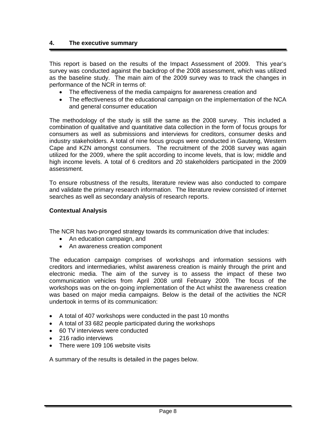#### **4. The executive summary**

This report is based on the results of the Impact Assessment of 2009. This year's survey was conducted against the backdrop of the 2008 assessment, which was utilized as the baseline study. The main aim of the 2009 survey was to track the changes in performance of the NCR in terms of:

- The effectiveness of the media campaigns for awareness creation and
- The effectiveness of the educational campaign on the implementation of the NCA and general consumer education

The methodology of the study is still the same as the 2008 survey. This included a combination of qualitative and quantitative data collection in the form of focus groups for consumers as well as submissions and interviews for creditors, consumer desks and industry stakeholders. A total of nine focus groups were conducted in Gauteng, Western Cape and KZN amongst consumers. The recruitment of the 2008 survey was again utilized for the 2009, where the split according to income levels, that is low; middle and high income levels. A total of 6 creditors and 20 stakeholders participated in the 2009 assessment.

To ensure robustness of the results, literature review was also conducted to compare and validate the primary research information. The literature review consisted of internet searches as well as secondary analysis of research reports.

#### **Contextual Analysis**

The NCR has two-pronged strategy towards its communication drive that includes:

- An education campaign, and
- An awareness creation component

The education campaign comprises of workshops and information sessions with creditors and intermediaries, whilst awareness creation is mainly through the print and electronic media. The aim of the survey is to assess the impact of these two communication vehicles from April 2008 until February 2009. The focus of the workshops was on the on-going implementation of the Act whilst the awareness creation was based on major media campaigns. Below is the detail of the activities the NCR undertook in terms of its communication:

- A total of 407 workshops were conducted in the past 10 months
- A total of 33 682 people participated during the workshops
- 60 TV interviews were conducted
- 216 radio interviews
- There were 109 106 website visits

A summary of the results is detailed in the pages below.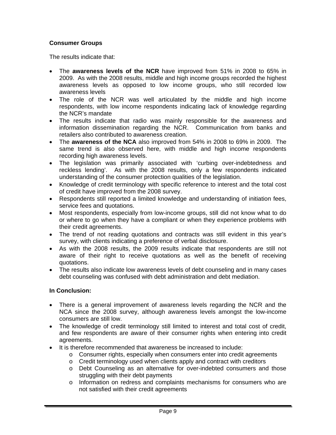# **Consumer Groups**

The results indicate that:

- The **awareness levels of the NCR** have improved from 51% in 2008 to 65% in 2009. As with the 2008 results, middle and high income groups recorded the highest awareness levels as opposed to low income groups, who still recorded low awareness levels
- The role of the NCR was well articulated by the middle and high income respondents, with low income respondents indicating lack of knowledge regarding the NCR's mandate
- The results indicate that radio was mainly responsible for the awareness and information dissemination regarding the NCR. Communication from banks and retailers also contributed to awareness creation.
- The **awareness of the NCA** also improved from 54% in 2008 to 69% in 2009. The same trend is also observed here, with middle and high income respondents recording high awareness levels.
- The legislation was primarily associated with 'curbing over-indebtedness and reckless lending'. As with the 2008 results, only a few respondents indicated understanding of the consumer protection qualities of the legislation.
- Knowledge of credit terminology with specific reference to interest and the total cost of credit have improved from the 2008 survey.
- Respondents still reported a limited knowledge and understanding of initiation fees, service fees and quotations.
- Most respondents, especially from low-income groups, still did not know what to do or where to go when they have a compliant or when they experience problems with their credit agreements.
- The trend of not reading quotations and contracts was still evident in this year's survey, with clients indicating a preference of verbal disclosure.
- As with the 2008 results, the 2009 results indicate that respondents are still not aware of their right to receive quotations as well as the benefit of receiving quotations.
- The results also indicate low awareness levels of debt counseling and in many cases debt counseling was confused with debt administration and debt mediation.

#### **In Conclusion:**

- There is a general improvement of awareness levels regarding the NCR and the NCA since the 2008 survey, although awareness levels amongst the low-income consumers are still low.
- The knowledge of credit terminology still limited to interest and total cost of credit, and few respondents are aware of their consumer rights when entering into credit agreements.
- It is therefore recommended that awareness be increased to include:
	- o Consumer rights, especially when consumers enter into credit agreements
	- $\circ$  Credit terminology used when clients apply and contract with creditors
	- o Debt Counseling as an alternative for over-indebted consumers and those struggling with their debt payments
	- o Information on redress and complaints mechanisms for consumers who are not satisfied with their credit agreements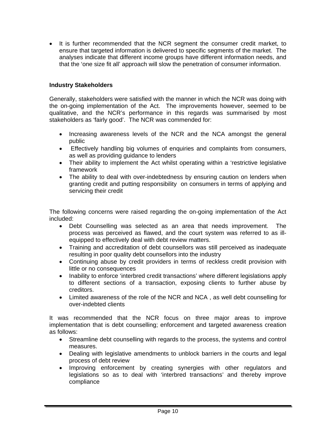• It is further recommended that the NCR segment the consumer credit market, to ensure that targeted information is delivered to specific segments of the market. The analyses indicate that different income groups have different information needs, and that the 'one size fit all' approach will slow the penetration of consumer information.

#### **Industry Stakeholders**

Generally, stakeholders were satisfied with the manner in which the NCR was doing with the on-going implementation of the Act. The improvements however, seemed to be qualitative, and the NCR's performance in this regards was summarised by most stakeholders as 'fairly good'. The NCR was commended for:

- Increasing awareness levels of the NCR and the NCA amongst the general public
- Effectively handling big volumes of enquiries and complaints from consumers, as well as providing guidance to lenders
- Their ability to implement the Act whilst operating within a 'restrictive legislative framework
- The ability to deal with over-indebtedness by ensuring caution on lenders when granting credit and putting responsibility on consumers in terms of applying and servicing their credit

The following concerns were raised regarding the on-going implementation of the Act included:

- Debt Counselling was selected as an area that needs improvement. The process was perceived as flawed, and the court system was referred to as illequipped to effectively deal with debt review matters.
- Training and accreditation of debt counsellors was still perceived as inadequate resulting in poor quality debt counsellors into the industry
- Continuing abuse by credit providers in terms of reckless credit provision with little or no consequences
- Inability to enforce 'interbred credit transactions' where different legislations apply to different sections of a transaction, exposing clients to further abuse by creditors.
- Limited awareness of the role of the NCR and NCA , as well debt counselling for over-indebted clients

It was recommended that the NCR focus on three major areas to improve implementation that is debt counselling; enforcement and targeted awareness creation as follows:

- Streamline debt counselling with regards to the process, the systems and control measures.
- Dealing with legislative amendments to unblock barriers in the courts and legal process of debt review
- Improving enforcement by creating synergies with other regulators and legislations so as to deal with 'interbred transactions' and thereby improve compliance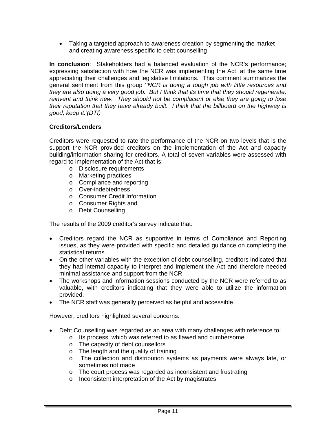• Taking a targeted approach to awareness creation by segmenting the market and creating awareness specific to debt counselling

**In conclusion**: Stakeholders had a balanced evaluation of the NCR's performance; expressing satisfaction with how the NCR was implementing the Act, at the same time appreciating their challenges and legislative limitations. This comment summarizes the general sentiment from this group '*'NCR is doing a tough job with little resources and they are also doing a very good job. But I think that its time that they should regenerate, reinvent and think new. They should not be complacent or else they are going to lose their reputation that they have already built. I think that the billboard on the highway is good, keep it.'(DTI)* 

# **Creditors/Lenders**

Creditors were requested to rate the performance of the NCR on two levels that is the support the NCR provided creditors on the implementation of the Act and capacity building/information sharing for creditors. A total of seven variables were assessed with regard to implementation of the Act that is:

- o Disclosure requirements
- o Marketing practices
- o Compliance and reporting
- o Over-indebtedness
- o Consumer Credit Information
- o Consumer Rights and
- o Debt Counselling

The results of the 2009 creditor's survey indicate that:

- Creditors regard the NCR as supportive in terms of Compliance and Reporting issues, as they were provided with specific and detailed guidance on completing the statistical returns.
- On the other variables with the exception of debt counselling, creditors indicated that they had internal capacity to interpret and implement the Act and therefore needed minimal assistance and support from the NCR.
- The workshops and information sessions conducted by the NCR were referred to as valuable, with creditors indicating that they were able to utilize the information provided.
- The NCR staff was generally perceived as helpful and accessible.

However, creditors highlighted several concerns:

- Debt Counselling was regarded as an area with many challenges with reference to:
	- o Its process, which was referred to as flawed and cumbersome
	- o The capacity of debt counsellors
	- o The length and the quality of training
	- o The collection and distribution systems as payments were always late, or sometimes not made
	- o The court process was regarded as inconsistent and frustrating
	- o Inconsistent interpretation of the Act by magistrates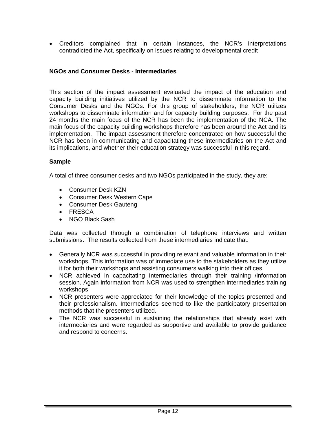• Creditors complained that in certain instances, the NCR's interpretations contradicted the Act, specifically on issues relating to developmental credit

#### **NGOs and Consumer Desks - Intermediaries**

This section of the impact assessment evaluated the impact of the education and capacity building initiatives utilized by the NCR to disseminate information to the Consumer Desks and the NGOs. For this group of stakeholders, the NCR utilizes workshops to disseminate information and for capacity building purposes. For the past 24 months the main focus of the NCR has been the implementation of the NCA. The main focus of the capacity building workshops therefore has been around the Act and its implementation. The impact assessment therefore concentrated on how successful the NCR has been in communicating and capacitating these intermediaries on the Act and its implications, and whether their education strategy was successful in this regard.

#### **Sample**

A total of three consumer desks and two NGOs participated in the study, they are:

- Consumer Desk KZN
- Consumer Desk Western Cape
- Consumer Desk Gauteng
- FRESCA
- NGO Black Sash

Data was collected through a combination of telephone interviews and written submissions. The results collected from these intermediaries indicate that:

- Generally NCR was successful in providing relevant and valuable information in their workshops. This information was of immediate use to the stakeholders as they utilize it for both their workshops and assisting consumers walking into their offices.
- NCR achieved in capacitating Intermediaries through their training /information session. Again information from NCR was used to strengthen intermediaries training workshops
- NCR presenters were appreciated for their knowledge of the topics presented and their professionalism. Intermediaries seemed to like the participatory presentation methods that the presenters utilized.
- The NCR was successful in sustaining the relationships that already exist with intermediaries and were regarded as supportive and available to provide guidance and respond to concerns.